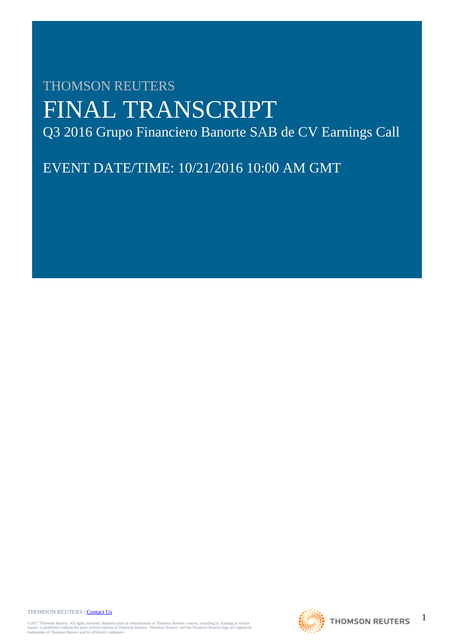# THOMSON REUTERS FINAL TRANSCRIPT Q3 2016 Grupo Financiero Banorte SAB de CV Earnings Call

EVENT DATE/TIME: 10/21/2016 10:00 AM GMT

THOMSON REUTERS | [Contact Us](http://financial.thomsonreuters.com/en/contact-us.html)

©2017 Thomson Reuters. All rights reserved. Republication or redistribution of Thomson Reuters content, including by framing or similar<br>means, is prohibited without the prior written consent of Thomson Reuters. "Thomson Re

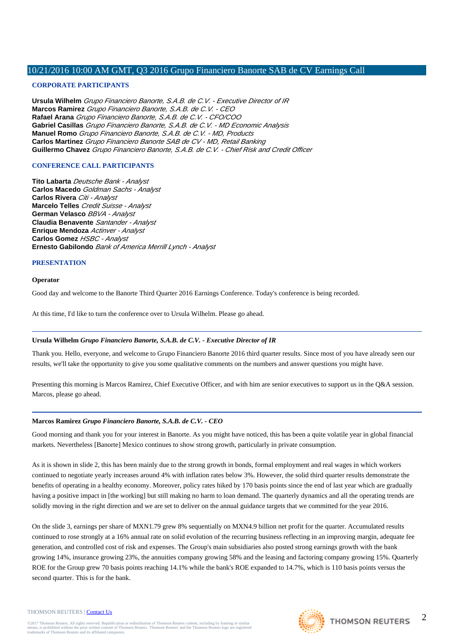# **CORPORATE PARTICIPANTS**

**Ursula Wilhelm** Grupo Financiero Banorte, S.A.B. de C.V. - Executive Director of IR **Marcos Ramirez** Grupo Financiero Banorte, S.A.B. de C.V. - CEO **Rafael Arana** Grupo Financiero Banorte, S.A.B. de C.V. - CFO/COO **Gabriel Casillas** Grupo Financiero Banorte, S.A.B. de C.V. - MD Economic Analysis **Manuel Romo** Grupo Financiero Banorte, S.A.B. de C.V. - MD, Products **Carlos Martinez** Grupo Financiero Banorte SAB de CV - MD, Retail Banking **Guillermo Chavez** Grupo Financiero Banorte, S.A.B. de C.V. - Chief Risk and Credit Officer

# **CONFERENCE CALL PARTICIPANTS**

**Tito Labarta** Deutsche Bank - Analyst **Carlos Macedo** Goldman Sachs - Analyst **Carlos Rivera** Citi - Analyst **Marcelo Telles** Credit Suisse - Analyst **German Velasco** BBVA - Analyst **Claudia Benavente** Santander - Analyst **Enrique Mendoza** Actinver - Analyst **Carlos Gomez** HSBC - Analyst **Ernesto Gabilondo** Bank of America Merrill Lynch - Analyst

# **PRESENTATION**

# **Operator**

Good day and welcome to the Banorte Third Quarter 2016 Earnings Conference. Today's conference is being recorded.

At this time, I'd like to turn the conference over to Ursula Wilhelm. Please go ahead.

# **Ursula Wilhelm** *Grupo Financiero Banorte, S.A.B. de C.V. - Executive Director of IR*

Thank you. Hello, everyone, and welcome to Grupo Financiero Banorte 2016 third quarter results. Since most of you have already seen our results, we'll take the opportunity to give you some qualitative comments on the numbers and answer questions you might have.

Presenting this morning is Marcos Ramirez, Chief Executive Officer, and with him are senior executives to support us in the Q&A session. Marcos, please go ahead.

# **Marcos Ramirez** *Grupo Financiero Banorte, S.A.B. de C.V. - CEO*

Good morning and thank you for your interest in Banorte. As you might have noticed, this has been a quite volatile year in global financial markets. Nevertheless [Banorte] Mexico continues to show strong growth, particularly in private consumption.

As it is shown in slide 2, this has been mainly due to the strong growth in bonds, formal employment and real wages in which workers continued to negotiate yearly increases around 4% with inflation rates below 3%. However, the solid third quarter results demonstrate the benefits of operating in a healthy economy. Moreover, policy rates hiked by 170 basis points since the end of last year which are gradually having a positive impact in [the working] but still making no harm to loan demand. The quarterly dynamics and all the operating trends are solidly moving in the right direction and we are set to deliver on the annual guidance targets that we committed for the year 2016.

On the slide 3, earnings per share of MXN1.79 grew 8% sequentially on MXN4.9 billion net profit for the quarter. Accumulated results continued to rose strongly at a 16% annual rate on solid evolution of the recurring business reflecting in an improving margin, adequate fee generation, and controlled cost of risk and expenses. The Group's main subsidiaries also posted strong earnings growth with the bank growing 14%, insurance growing 23%, the annuities company growing 58% and the leasing and factoring company growing 15%. Quarterly ROE for the Group grew 70 basis points reaching 14.1% while the bank's ROE expanded to 14.7%, which is 110 basis points versus the second quarter. This is for the bank.

#### THOMSON REUTERS | [Contact Us](http://financial.thomsonreuters.com/en/contact-us.html)

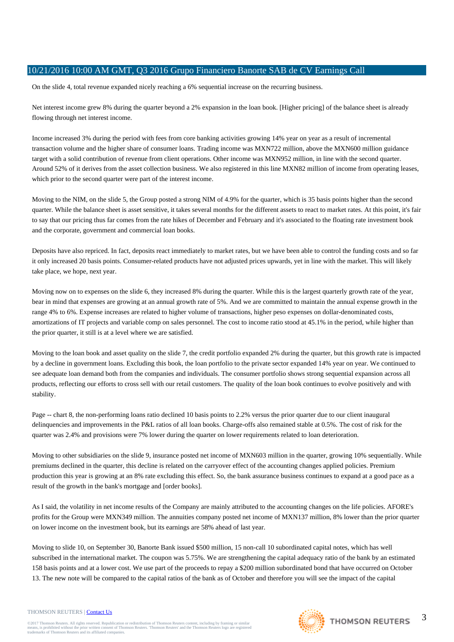On the slide 4, total revenue expanded nicely reaching a 6% sequential increase on the recurring business.

Net interest income grew 8% during the quarter beyond a 2% expansion in the loan book. [Higher pricing] of the balance sheet is already flowing through net interest income.

Income increased 3% during the period with fees from core banking activities growing 14% year on year as a result of incremental transaction volume and the higher share of consumer loans. Trading income was MXN722 million, above the MXN600 million guidance target with a solid contribution of revenue from client operations. Other income was MXN952 million, in line with the second quarter. Around 52% of it derives from the asset collection business. We also registered in this line MXN82 million of income from operating leases, which prior to the second quarter were part of the interest income.

Moving to the NIM, on the slide 5, the Group posted a strong NIM of 4.9% for the quarter, which is 35 basis points higher than the second quarter. While the balance sheet is asset sensitive, it takes several months for the different assets to react to market rates. At this point, it's fair to say that our pricing thus far comes from the rate hikes of December and February and it's associated to the floating rate investment book and the corporate, government and commercial loan books.

Deposits have also repriced. In fact, deposits react immediately to market rates, but we have been able to control the funding costs and so far it only increased 20 basis points. Consumer-related products have not adjusted prices upwards, yet in line with the market. This will likely take place, we hope, next year.

Moving now on to expenses on the slide 6, they increased 8% during the quarter. While this is the largest quarterly growth rate of the year. bear in mind that expenses are growing at an annual growth rate of 5%. And we are committed to maintain the annual expense growth in the range 4% to 6%. Expense increases are related to higher volume of transactions, higher peso expenses on dollar-denominated costs, amortizations of IT projects and variable comp on sales personnel. The cost to income ratio stood at 45.1% in the period, while higher than the prior quarter, it still is at a level where we are satisfied.

Moving to the loan book and asset quality on the slide 7, the credit portfolio expanded 2% during the quarter, but this growth rate is impacted by a decline in government loans. Excluding this book, the loan portfolio to the private sector expanded 14% year on year. We continued to see adequate loan demand both from the companies and individuals. The consumer portfolio shows strong sequential expansion across all products, reflecting our efforts to cross sell with our retail customers. The quality of the loan book continues to evolve positively and with stability.

Page -- chart 8, the non-performing loans ratio declined 10 basis points to 2.2% versus the prior quarter due to our client inaugural delinquencies and improvements in the P&L ratios of all loan books. Charge-offs also remained stable at 0.5%. The cost of risk for the quarter was 2.4% and provisions were 7% lower during the quarter on lower requirements related to loan deterioration.

Moving to other subsidiaries on the slide 9, insurance posted net income of MXN603 million in the quarter, growing 10% sequentially. While premiums declined in the quarter, this decline is related on the carryover effect of the accounting changes applied policies. Premium production this year is growing at an 8% rate excluding this effect. So, the bank assurance business continues to expand at a good pace as a result of the growth in the bank's mortgage and [order books].

As I said, the volatility in net income results of the Company are mainly attributed to the accounting changes on the life policies. AFORE's profits for the Group were MXN349 million. The annuities company posted net income of MXN137 million, 8% lower than the prior quarter on lower income on the investment book, but its earnings are 58% ahead of last year.

Moving to slide 10, on September 30, Banorte Bank issued \$500 million, 15 non-call 10 subordinated capital notes, which has well subscribed in the international market. The coupon was 5.75%. We are strengthening the capital adequacy ratio of the bank by an estimated 158 basis points and at a lower cost. We use part of the proceeds to repay a \$200 million subordinated bond that have occurred on October 13. The new note will be compared to the capital ratios of the bank as of October and therefore you will see the impact of the capital

#### THOMSON REUTERS | [Contact Us](http://financial.thomsonreuters.com/en/contact-us.html)

@2017 Thomson Reuters. All rights reserved. Republication or redistribution of Thomson Reuters content, including by framing or similar<br>means, is prohibited without the prior written consent of Thomson Reuters. 'Thomson Re means, is prohibited without the prior written consent trademarks of Thomson Reuters and its affiliated comp

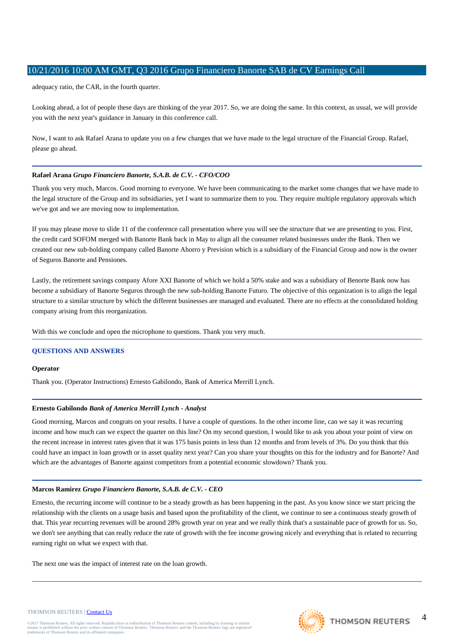adequacy ratio, the CAR, in the fourth quarter.

Looking ahead, a lot of people these days are thinking of the year 2017. So, we are doing the same. In this context, as usual, we will provide you with the next year's guidance in January in this conference call.

Now, I want to ask Rafael Arana to update you on a few changes that we have made to the legal structure of the Financial Group. Rafael, please go ahead.

# **Rafael Arana** *Grupo Financiero Banorte, S.A.B. de C.V. - CFO/COO*

Thank you very much, Marcos. Good morning to everyone. We have been communicating to the market some changes that we have made to the legal structure of the Group and its subsidiaries, yet I want to summarize them to you. They require multiple regulatory approvals which we've got and we are moving now to implementation.

If you may please move to slide 11 of the conference call presentation where you will see the structure that we are presenting to you. First, the credit card SOFOM merged with Banorte Bank back in May to align all the consumer related businesses under the Bank. Then we created our new sub-holding company called Banorte Ahorro y Prevision which is a subsidiary of the Financial Group and now is the owner of Seguros Banorte and Pensiones.

Lastly, the retirement savings company Afore XXI Banorte of which we hold a 50% stake and was a subsidiary of Benorte Bank now has become a subsidiary of Banorte Seguros through the new sub-holding Banorte Futuro. The objective of this organization is to align the legal structure to a similar structure by which the different businesses are managed and evaluated. There are no effects at the consolidated holding company arising from this reorganization.

With this we conclude and open the microphone to questions. Thank you very much.

# **QUESTIONS AND ANSWERS**

# **Operator**

Thank you. (Operator Instructions) Ernesto Gabilondo, Bank of America Merrill Lynch.

# **Ernesto Gabilondo** *Bank of America Merrill Lynch - Analyst*

Good morning, Marcos and congrats on your results. I have a couple of questions. In the other income line, can we say it was recurring income and how much can we expect the quarter on this line? On my second question, I would like to ask you about your point of view on the recent increase in interest rates given that it was 175 basis points in less than 12 months and from levels of 3%. Do you think that this could have an impact in loan growth or in asset quality next year? Can you share your thoughts on this for the industry and for Banorte? And which are the advantages of Banorte against competitors from a potential economic slowdown? Thank you.

# **Marcos Ramirez** *Grupo Financiero Banorte, S.A.B. de C.V. - CEO*

Ernesto, the recurring income will continue to be a steady growth as has been happening in the past. As you know since we start pricing the relationship with the clients on a usage basis and based upon the profitability of the client, we continue to see a continuous steady growth of that. This year recurring revenues will be around 28% growth year on year and we really think that's a sustainable pace of growth for us. So, we don't see anything that can really reduce the rate of growth with the fee income growing nicely and everything that is related to recurring earning right on what we expect with that.

The next one was the impact of interest rate on the loan growth.



 $\Delta$ 

#### THOMSON REUTERS | [Contact Us](http://financial.thomsonreuters.com/en/contact-us.html)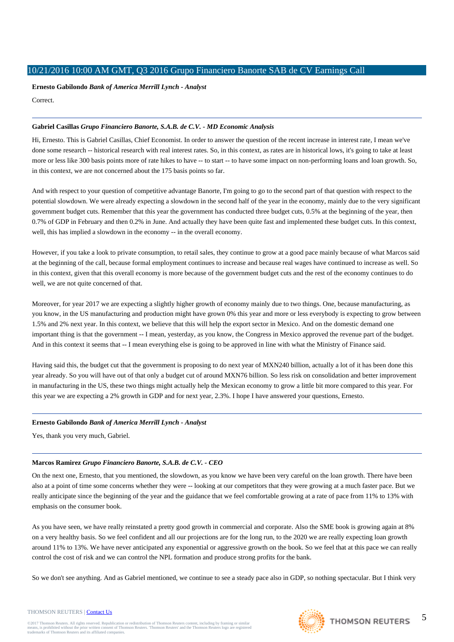**Ernesto Gabilondo** *Bank of America Merrill Lynch - Analyst*

Correct.

# **Gabriel Casillas** *Grupo Financiero Banorte, S.A.B. de C.V. - MD Economic Analysis*

Hi, Ernesto. This is Gabriel Casillas, Chief Economist. In order to answer the question of the recent increase in interest rate, I mean we've done some research -- historical research with real interest rates. So, in this context, as rates are in historical lows, it's going to take at least more or less like 300 basis points more of rate hikes to have -- to start -- to have some impact on non-performing loans and loan growth. So, in this context, we are not concerned about the 175 basis points so far.

And with respect to your question of competitive advantage Banorte. I'm going to go to the second part of that question with respect to the potential slowdown. We were already expecting a slowdown in the second half of the year in the economy, mainly due to the very significant government budget cuts. Remember that this year the government has conducted three budget cuts, 0.5% at the beginning of the year, then 0.7% of GDP in February and then 0.2% in June. And actually they have been quite fast and implemented these budget cuts. In this context, well, this has implied a slowdown in the economy -- in the overall economy.

However, if you take a look to private consumption, to retail sales, they continue to grow at a good pace mainly because of what Marcos said at the beginning of the call, because formal employment continues to increase and because real wages have continued to increase as well. So in this context, given that this overall economy is more because of the government budget cuts and the rest of the economy continues to do well, we are not quite concerned of that.

Moreover, for year 2017 we are expecting a slightly higher growth of economy mainly due to two things. One, because manufacturing, as you know, in the US manufacturing and production might have grown 0% this year and more or less everybody is expecting to grow between 1.5% and 2% next year. In this context, we believe that this will help the export sector in Mexico. And on the domestic demand one important thing is that the government -- I mean, yesterday, as you know, the Congress in Mexico approved the revenue part of the budget. And in this context it seems that -- I mean everything else is going to be approved in line with what the Ministry of Finance said.

Having said this, the budget cut that the government is proposing to do next year of MXN240 billion, actually a lot of it has been done this year already. So you will have out of that only a budget cut of around MXN76 billion. So less risk on consolidation and better improvement in manufacturing in the US, these two things might actually help the Mexican economy to grow a little bit more compared to this year. For this year we are expecting a 2% growth in GDP and for next year, 2.3%. I hope I have answered your questions, Ernesto.

# **Ernesto Gabilondo** *Bank of America Merrill Lynch - Analyst*

Yes, thank you very much, Gabriel.

# **Marcos Ramirez** *Grupo Financiero Banorte, S.A.B. de C.V. - CEO*

On the next one, Ernesto, that you mentioned, the slowdown, as you know we have been very careful on the loan growth. There have been also at a point of time some concerns whether they were -- looking at our competitors that they were growing at a much faster pace. But we really anticipate since the beginning of the year and the guidance that we feel comfortable growing at a rate of pace from 11% to 13% with emphasis on the consumer book.

As you have seen, we have really reinstated a pretty good growth in commercial and corporate. Also the SME book is growing again at 8% on a very healthy basis. So we feel confident and all our projections are for the long run, to the 2020 we are really expecting loan growth around 11% to 13%. We have never anticipated any exponential or aggressive growth on the book. So we feel that at this pace we can really control the cost of risk and we can control the NPL formation and produce strong profits for the bank.

So we don't see anything. And as Gabriel mentioned, we continue to see a steady pace also in GDP, so nothing spectacular. But I think very

# THOMSON REUTERS | [Contact Us](http://financial.thomsonreuters.com/en/contact-us.html)

@2017 Thomson Reuters. All rights reserved. Republication or redistribution of Thomson Reuters content, including by framing or similar<br>means, is prohibited without the prior written consent of Thomson Reuters. 'Thomson Re means, is prohibited without the prior written consent trademarks of Thomson Reuters and its affiliated comp

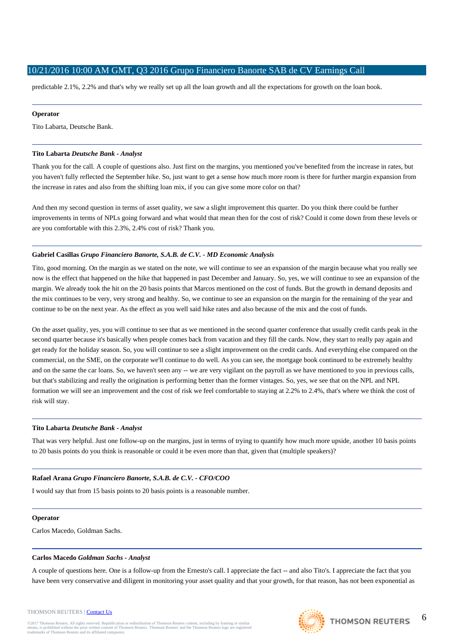predictable 2.1%, 2.2% and that's why we really set up all the loan growth and all the expectations for growth on the loan book.

### **Operator**

Tito Labarta, Deutsche Bank.

### **Tito Labarta** *Deutsche Bank - Analyst*

Thank you for the call. A couple of questions also. Just first on the margins, you mentioned you've benefited from the increase in rates, but you haven't fully reflected the September hike. So, just want to get a sense how much more room is there for further margin expansion from the increase in rates and also from the shifting loan mix, if you can give some more color on that?

And then my second question in terms of asset quality, we saw a slight improvement this quarter. Do you think there could be further improvements in terms of NPLs going forward and what would that mean then for the cost of risk? Could it come down from these levels or are you comfortable with this 2.3%, 2.4% cost of risk? Thank you.

# **Gabriel Casillas** *Grupo Financiero Banorte, S.A.B. de C.V. - MD Economic Analysis*

Tito, good morning. On the margin as we stated on the note, we will continue to see an expansion of the margin because what you really see now is the effect that happened on the hike that happened in past December and January. So, yes, we will continue to see an expansion of the margin. We already took the hit on the 20 basis points that Marcos mentioned on the cost of funds. But the growth in demand deposits and the mix continues to be very, very strong and healthy. So, we continue to see an expansion on the margin for the remaining of the year and continue to be on the next year. As the effect as you well said hike rates and also because of the mix and the cost of funds.

On the asset quality, yes, you will continue to see that as we mentioned in the second quarter conference that usually credit cards peak in the second quarter because it's basically when people comes back from vacation and they fill the cards. Now, they start to really pay again and get ready for the holiday season. So, you will continue to see a slight improvement on the credit cards. And everything else compared on the commercial, on the SME, on the corporate we'll continue to do well. As you can see, the mortgage book continued to be extremely healthy and on the same the car loans. So, we haven't seen any -- we are very vigilant on the payroll as we have mentioned to you in previous calls, but that's stabilizing and really the origination is performing better than the former vintages. So, yes, we see that on the NPL and NPL formation we will see an improvement and the cost of risk we feel comfortable to staying at 2.2% to 2.4%, that's where we think the cost of risk will stay.

#### **Tito Labarta** *Deutsche Bank - Analyst*

That was very helpful. Just one follow-up on the margins, just in terms of trying to quantify how much more upside, another 10 basis points to 20 basis points do you think is reasonable or could it be even more than that, given that (multiple speakers)?

# **Rafael Arana** *Grupo Financiero Banorte, S.A.B. de C.V. - CFO/COO*

I would say that from 15 basis points to 20 basis points is a reasonable number.

#### **Operator**

Carlos Macedo, Goldman Sachs.

#### **Carlos Macedo** *Goldman Sachs - Analyst*

A couple of questions here. One is a follow-up from the Ernesto's call. I appreciate the fact -- and also Tito's. I appreciate the fact that you have been very conservative and diligent in monitoring your asset quality and that your growth, for that reason, has not been exponential as

#### THOMSON REUTERS | [Contact Us](http://financial.thomsonreuters.com/en/contact-us.html)

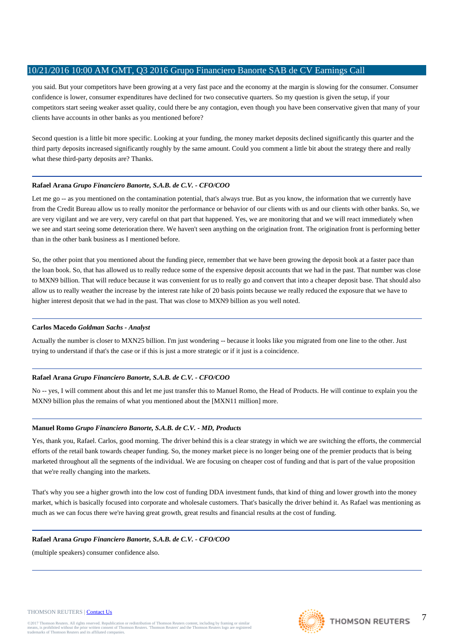you said. But your competitors have been growing at a very fast pace and the economy at the margin is slowing for the consumer. Consumer confidence is lower, consumer expenditures have declined for two consecutive quarters. So my question is given the setup, if your competitors start seeing weaker asset quality, could there be any contagion, even though you have been conservative given that many of your clients have accounts in other banks as you mentioned before?

Second question is a little bit more specific. Looking at your funding, the money market deposits declined significantly this quarter and the third party deposits increased significantly roughly by the same amount. Could you comment a little bit about the strategy there and really what these third-party deposits are? Thanks.

# **Rafael Arana** *Grupo Financiero Banorte, S.A.B. de C.V. - CFO/COO*

Let me go -- as you mentioned on the contamination potential, that's always true. But as you know, the information that we currently have from the Credit Bureau allow us to really monitor the performance or behavior of our clients with us and our clients with other banks. So, we are very vigilant and we are very, very careful on that part that happened. Yes, we are monitoring that and we will react immediately when we see and start seeing some deterioration there. We haven't seen anything on the origination front. The origination front is performing better than in the other bank business as I mentioned before.

So, the other point that you mentioned about the funding piece, remember that we have been growing the deposit book at a faster pace than the loan book. So, that has allowed us to really reduce some of the expensive deposit accounts that we had in the past. That number was close to MXN9 billion. That will reduce because it was convenient for us to really go and convert that into a cheaper deposit base. That should also allow us to really weather the increase by the interest rate hike of 20 basis points because we really reduced the exposure that we have to higher interest deposit that we had in the past. That was close to MXN9 billion as you well noted.

# **Carlos Macedo** *Goldman Sachs - Analyst*

Actually the number is closer to MXN25 billion. I'm just wondering -- because it looks like you migrated from one line to the other. Just trying to understand if that's the case or if this is just a more strategic or if it just is a coincidence.

# **Rafael Arana** *Grupo Financiero Banorte, S.A.B. de C.V. - CFO/COO*

No -- yes, I will comment about this and let me just transfer this to Manuel Romo, the Head of Products. He will continue to explain you the MXN9 billion plus the remains of what you mentioned about the [MXN11 million] more.

# **Manuel Romo** *Grupo Financiero Banorte, S.A.B. de C.V. - MD, Products*

Yes, thank you, Rafael. Carlos, good morning. The driver behind this is a clear strategy in which we are switching the efforts, the commercial efforts of the retail bank towards cheaper funding. So, the money market piece is no longer being one of the premier products that is being marketed throughout all the segments of the individual. We are focusing on cheaper cost of funding and that is part of the value proposition that we're really changing into the markets.

That's why you see a higher growth into the low cost of funding DDA investment funds, that kind of thing and lower growth into the money market, which is basically focused into corporate and wholesale customers. That's basically the driver behind it. As Rafael was mentioning as much as we can focus there we're having great growth, great results and financial results at the cost of funding.

# **Rafael Arana** *Grupo Financiero Banorte, S.A.B. de C.V. - CFO/COO*

(multiple speakers) consumer confidence also.

#### THOMSON REUTERS | [Contact Us](http://financial.thomsonreuters.com/en/contact-us.html)

@2017 Thomson Reuters. All rights reserved. Republication or redistribution of Thomson Reuters content, including by framing or similar<br>means, is prohibited without the prior written consent of Thomson Reuters. 'Thomson Re means, is prohibited without the prior written consent trademarks of Thomson Reuters and its affiliated comp

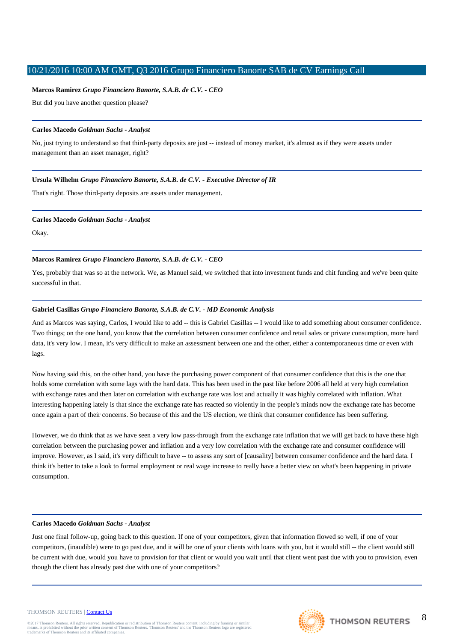### **Marcos Ramirez** *Grupo Financiero Banorte, S.A.B. de C.V. - CEO*

But did you have another question please?

# **Carlos Macedo** *Goldman Sachs - Analyst*

No, just trying to understand so that third-party deposits are just -- instead of money market, it's almost as if they were assets under management than an asset manager, right?

### **Ursula Wilhelm** *Grupo Financiero Banorte, S.A.B. de C.V. - Executive Director of IR*

That's right. Those third-party deposits are assets under management.

#### **Carlos Macedo** *Goldman Sachs - Analyst*

Okay.

### **Marcos Ramirez** *Grupo Financiero Banorte, S.A.B. de C.V. - CEO*

Yes, probably that was so at the network. We, as Manuel said, we switched that into investment funds and chit funding and we've been quite successful in that.

#### **Gabriel Casillas** *Grupo Financiero Banorte, S.A.B. de C.V. - MD Economic Analysis*

And as Marcos was saying, Carlos, I would like to add -- this is Gabriel Casillas -- I would like to add something about consumer confidence. Two things; on the one hand, you know that the correlation between consumer confidence and retail sales or private consumption, more hard data, it's very low. I mean, it's very difficult to make an assessment between one and the other, either a contemporaneous time or even with lags.

Now having said this, on the other hand, you have the purchasing power component of that consumer confidence that this is the one that holds some correlation with some lags with the hard data. This has been used in the past like before 2006 all held at very high correlation with exchange rates and then later on correlation with exchange rate was lost and actually it was highly correlated with inflation. What interesting happening lately is that since the exchange rate has reacted so violently in the people's minds now the exchange rate has become once again a part of their concerns. So because of this and the US election, we think that consumer confidence has been suffering.

However, we do think that as we have seen a very low pass-through from the exchange rate inflation that we will get back to have these high correlation between the purchasing power and inflation and a very low correlation with the exchange rate and consumer confidence will improve. However, as I said, it's very difficult to have -- to assess any sort of [causality] between consumer confidence and the hard data. I think it's better to take a look to formal employment or real wage increase to really have a better view on what's been happening in private consumption.

#### **Carlos Macedo** *Goldman Sachs - Analyst*

Just one final follow-up, going back to this question. If one of your competitors, given that information flowed so well, if one of your competitors, (inaudible) were to go past due, and it will be one of your clients with loans with you, but it would still -- the client would still be current with due, would you have to provision for that client or would you wait until that client went past due with you to provision, even though the client has already past due with one of your competitors?

#### THOMSON REUTERS | [Contact Us](http://financial.thomsonreuters.com/en/contact-us.html)

@2017 Thomson Reuters. All rights reserved. Republication or redistribution of Thomson Reuters content, including by framing or similar<br>means, is prohibited without the prior written consent of Thomson Reuters. 'Thomson Re means, is prohibited without the prior written consent trademarks of Thomson Reuters and its affiliated comp

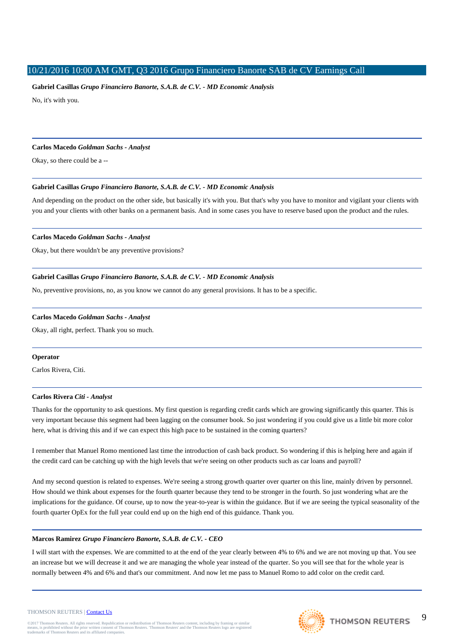# **Gabriel Casillas** *Grupo Financiero Banorte, S.A.B. de C.V. - MD Economic Analysis*

No, it's with you.

#### **Carlos Macedo** *Goldman Sachs - Analyst*

Okay, so there could be a --

# **Gabriel Casillas** *Grupo Financiero Banorte, S.A.B. de C.V. - MD Economic Analysis*

And depending on the product on the other side, but basically it's with you. But that's why you have to monitor and vigilant your clients with you and your clients with other banks on a permanent basis. And in some cases you have to reserve based upon the product and the rules.

# **Carlos Macedo** *Goldman Sachs - Analyst*

Okay, but there wouldn't be any preventive provisions?

# **Gabriel Casillas** *Grupo Financiero Banorte, S.A.B. de C.V. - MD Economic Analysis*

No, preventive provisions, no, as you know we cannot do any general provisions. It has to be a specific.

# **Carlos Macedo** *Goldman Sachs - Analyst*

Okay, all right, perfect. Thank you so much.

# **Operator**

Carlos Rivera, Citi.

# **Carlos Rivera** *Citi - Analyst*

Thanks for the opportunity to ask questions. My first question is regarding credit cards which are growing significantly this quarter. This is very important because this segment had been lagging on the consumer book. So just wondering if you could give us a little bit more color here, what is driving this and if we can expect this high pace to be sustained in the coming quarters?

I remember that Manuel Romo mentioned last time the introduction of cash back product. So wondering if this is helping here and again if the credit card can be catching up with the high levels that we're seeing on other products such as car loans and payroll?

And my second question is related to expenses. We're seeing a strong growth quarter over quarter on this line, mainly driven by personnel. How should we think about expenses for the fourth quarter because they tend to be stronger in the fourth. So just wondering what are the implications for the guidance. Of course, up to now the year-to-year is within the guidance. But if we are seeing the typical seasonality of the fourth quarter OpEx for the full year could end up on the high end of this guidance. Thank you.

# **Marcos Ramirez** *Grupo Financiero Banorte, S.A.B. de C.V. - CEO*

I will start with the expenses. We are committed to at the end of the year clearly between 4% to 6% and we are not moving up that. You see an increase but we will decrease it and we are managing the whole year instead of the quarter. So you will see that for the whole year is normally between 4% and 6% and that's our commitment. And now let me pass to Manuel Romo to add color on the credit card.

#### THOMSON REUTERS | [Contact Us](http://financial.thomsonreuters.com/en/contact-us.html)

@2017 Thomson Reuters. All rights reserved. Republication or redistribution of Thomson Reuters content, including by framing or similar<br>means, is prohibited without the prior written consent of Thomson Reuters. 'Thomson Re means, is prohibited without the prior written consent trademarks of Thomson Reuters and its affiliated comp

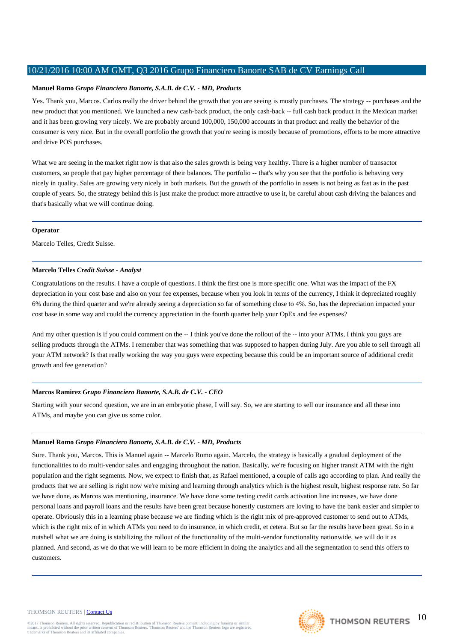# **Manuel Romo** *Grupo Financiero Banorte, S.A.B. de C.V. - MD, Products*

Yes. Thank you, Marcos. Carlos really the driver behind the growth that you are seeing is mostly purchases. The strategy -- purchases and the new product that you mentioned. We launched a new cash-back product, the only cash-back -- full cash back product in the Mexican market and it has been growing very nicely. We are probably around 100,000, 150,000 accounts in that product and really the behavior of the consumer is very nice. But in the overall portfolio the growth that you're seeing is mostly because of promotions, efforts to be more attractive and drive POS purchases.

What we are seeing in the market right now is that also the sales growth is being very healthy. There is a higher number of transactor customers, so people that pay higher percentage of their balances. The portfolio -- that's why you see that the portfolio is behaving very nicely in quality. Sales are growing very nicely in both markets. But the growth of the portfolio in assets is not being as fast as in the past couple of years. So, the strategy behind this is just make the product more attractive to use it, be careful about cash driving the balances and that's basically what we will continue doing.

#### **Operator**

Marcelo Telles, Credit Suisse.

# **Marcelo Telles** *Credit Suisse - Analyst*

Congratulations on the results. I have a couple of questions. I think the first one is more specific one. What was the impact of the FX depreciation in your cost base and also on your fee expenses, because when you look in terms of the currency, I think it depreciated roughly 6% during the third quarter and we're already seeing a depreciation so far of something close to 4%. So, has the depreciation impacted your cost base in some way and could the currency appreciation in the fourth quarter help your OpEx and fee expenses?

And my other question is if you could comment on the -- I think you've done the rollout of the -- into your ATMs, I think you guys are selling products through the ATMs. I remember that was something that was supposed to happen during July. Are you able to sell through all your ATM network? Is that really working the way you guys were expecting because this could be an important source of additional credit growth and fee generation?

# **Marcos Ramirez** *Grupo Financiero Banorte, S.A.B. de C.V. - CEO*

Starting with your second question, we are in an embryotic phase, I will say. So, we are starting to sell our insurance and all these into ATMs, and maybe you can give us some color.

# **Manuel Romo** *Grupo Financiero Banorte, S.A.B. de C.V. - MD, Products*

Sure. Thank you, Marcos. This is Manuel again -- Marcelo Romo again. Marcelo, the strategy is basically a gradual deployment of the functionalities to do multi-vendor sales and engaging throughout the nation. Basically, we're focusing on higher transit ATM with the right population and the right segments. Now, we expect to finish that, as Rafael mentioned, a couple of calls ago according to plan. And really the products that we are selling is right now we're mixing and learning through analytics which is the highest result, highest response rate. So far we have done, as Marcos was mentioning, insurance. We have done some testing credit cards activation line increases, we have done personal loans and payroll loans and the results have been great because honestly customers are loving to have the bank easier and simpler to operate. Obviously this in a learning phase because we are finding which is the right mix of pre-approved customer to send out to ATMs, which is the right mix of in which ATMs you need to do insurance, in which credit, et cetera. But so far the results have been great. So in a nutshell what we are doing is stabilizing the rollout of the functionality of the multi-vendor functionality nationwide, we will do it as planned. And second, as we do that we will learn to be more efficient in doing the analytics and all the segmentation to send this offers to customers.

#### THOMSON REUTERS | [Contact Us](http://financial.thomsonreuters.com/en/contact-us.html)

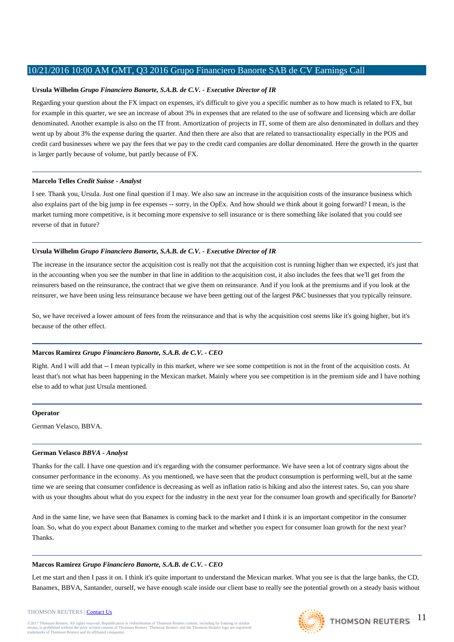# **Ursula Wilhelm** *Grupo Financiero Banorte, S.A.B. de C.V. - Executive Director of IR*

Regarding your question about the FX impact on expenses, it's difficult to give you a specific number as to how much is related to FX, but for example in this quarter, we see an increase of about 3% in expenses that are related to the use of software and licensing which are dollar denominated. Another example is also on the IT front. Amortization of projects in IT, some of them are also denominated in dollars and they went up by about 3% the expense during the quarter. And then there are also that are related to transactionality especially in the POS and credit card businesses where we pay the fees that we pay to the credit card companies are dollar denominated. Here the growth in the quarter is larger partly because of volume, but partly because of FX.

# **Marcelo Telles** *Credit Suisse - Analyst*

I see. Thank you, Ursula. Just one final question if I may. We also saw an increase in the acquisition costs of the insurance business which also explains part of the big jump in fee expenses -- sorry, in the OpEx. And how should we think about it going forward? I mean, is the market turning more competitive, is it becoming more expensive to sell insurance or is there something like isolated that you could see reverse of that in future?

# **Ursula Wilhelm** *Grupo Financiero Banorte, S.A.B. de C.V. - Executive Director of IR*

The increase in the insurance sector the acquisition cost is really not that the acquisition cost is running higher than we expected, it's just that in the accounting when you see the number in that line in addition to the acquisition cost, it also includes the fees that we'll get from the reinsurers based on the reinsurance, the contract that we give them on reinsurance. And if you look at the premiums and if you look at the reinsurer, we have been using less reinsurance because we have been getting out of the largest P&C businesses that you typically reinsure.

So, we have received a lower amount of fees from the reinsurance and that is why the acquisition cost seems like it's going higher, but it's because of the other effect.

# **Marcos Ramirez** *Grupo Financiero Banorte, S.A.B. de C.V. - CEO*

Right. And I will add that -- I mean typically in this market, where we see some competition is not in the front of the acquisition costs. At least that's not what has been happening in the Mexican market. Mainly where you see competition is in the premium side and I have nothing else to add to what just Ursula mentioned.

# **Operator**

German Velasco, BBVA.

# **German Velasco** *BBVA - Analyst*

Thanks for the call. I have one question and it's regarding with the consumer performance. We have seen a lot of contrary signs about the consumer performance in the economy. As you mentioned, we have seen that the product consumption is performing well, but at the same time we are seeing that consumer confidence is decreasing as well as inflation ratio is hiking and also the interest rates. So, can you share with us your thoughts about what do you expect for the industry in the next year for the consumer loan growth and specifically for Banorte?

And in the same line, we have seen that Banamex is coming back to the market and I think it is an important competitor in the consumer loan. So, what do you expect about Banamex coming to the market and whether you expect for consumer loan growth for the next year? Thanks.

# **Marcos Ramirez** *Grupo Financiero Banorte, S.A.B. de C.V. - CEO*

Let me start and then I pass it on. I think it's quite important to understand the Mexican market. What you see is that the large banks, the CD, Banamex, BBVA, Santander, ourself, we have enough scale inside our client base to really see the potential growth on a steady basis without

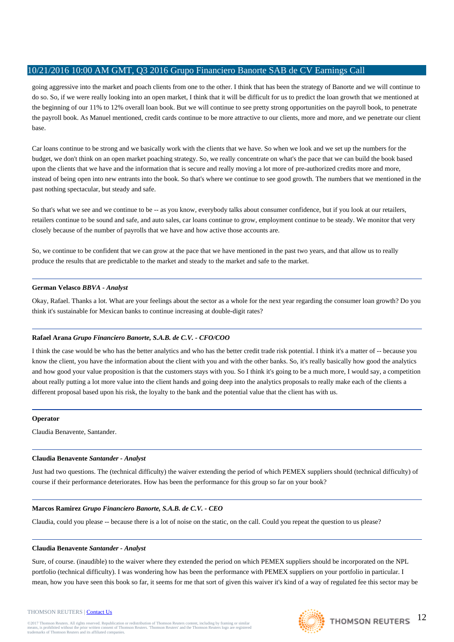going aggressive into the market and poach clients from one to the other. I think that has been the strategy of Banorte and we will continue to do so. So, if we were really looking into an open market, I think that it will be difficult for us to predict the loan growth that we mentioned at the beginning of our 11% to 12% overall loan book. But we will continue to see pretty strong opportunities on the payroll book, to penetrate the payroll book. As Manuel mentioned, credit cards continue to be more attractive to our clients, more and more, and we penetrate our client base.

Car loans continue to be strong and we basically work with the clients that we have. So when we look and we set up the numbers for the budget, we don't think on an open market poaching strategy. So, we really concentrate on what's the pace that we can build the book based upon the clients that we have and the information that is secure and really moving a lot more of pre-authorized credits more and more, instead of being open into new entrants into the book. So that's where we continue to see good growth. The numbers that we mentioned in the past nothing spectacular, but steady and safe.

So that's what we see and we continue to be -- as you know, everybody talks about consumer confidence, but if you look at our retailers, retailers continue to be sound and safe, and auto sales, car loans continue to grow, employment continue to be steady. We monitor that very closely because of the number of payrolls that we have and how active those accounts are.

So, we continue to be confident that we can grow at the pace that we have mentioned in the past two years, and that allow us to really produce the results that are predictable to the market and steady to the market and safe to the market.

# **German Velasco** *BBVA - Analyst*

Okay, Rafael. Thanks a lot. What are your feelings about the sector as a whole for the next year regarding the consumer loan growth? Do you think it's sustainable for Mexican banks to continue increasing at double-digit rates?

# **Rafael Arana** *Grupo Financiero Banorte, S.A.B. de C.V. - CFO/COO*

I think the case would be who has the better analytics and who has the better credit trade risk potential. I think it's a matter of -- because you know the client, you have the information about the client with you and with the other banks. So, it's really basically how good the analytics and how good your value proposition is that the customers stays with you. So I think it's going to be a much more, I would say, a competition about really putting a lot more value into the client hands and going deep into the analytics proposals to really make each of the clients a different proposal based upon his risk, the loyalty to the bank and the potential value that the client has with us.

# **Operator**

Claudia Benavente, Santander.

# **Claudia Benavente** *Santander - Analyst*

Just had two questions. The (technical difficulty) the waiver extending the period of which PEMEX suppliers should (technical difficulty) of course if their performance deteriorates. How has been the performance for this group so far on your book?

# **Marcos Ramirez** *Grupo Financiero Banorte, S.A.B. de C.V. - CEO*

Claudia, could you please -- because there is a lot of noise on the static, on the call. Could you repeat the question to us please?

# **Claudia Benavente** *Santander - Analyst*

Sure, of course. (inaudible) to the waiver where they extended the period on which PEMEX suppliers should be incorporated on the NPL portfolio (technical difficulty). I was wondering how has been the performance with PEMEX suppliers on your portfolio in particular. I mean, how you have seen this book so far, it seems for me that sort of given this waiver it's kind of a way of regulated fee this sector may be

#### THOMSON REUTERS | [Contact Us](http://financial.thomsonreuters.com/en/contact-us.html)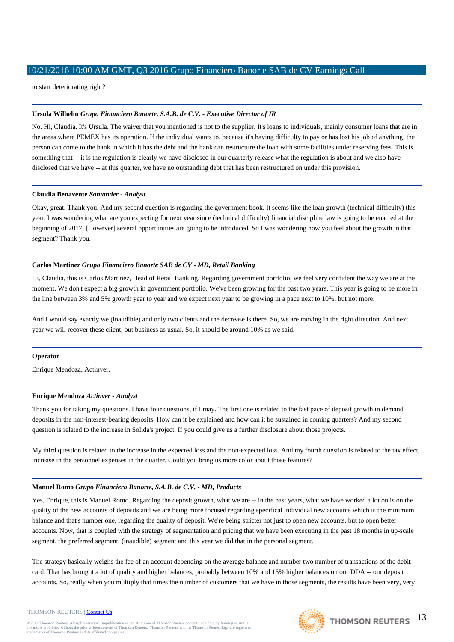to start deteriorating right?

# **Ursula Wilhelm** *Grupo Financiero Banorte, S.A.B. de C.V. - Executive Director of IR*

No. Hi, Claudia. It's Ursula. The waiver that you mentioned is not to the supplier. It's loans to individuals, mainly consumer loans that are in the areas where PEMEX has its operation. If the individual wants to, because it's having difficulty to pay or has lost his job of anything, the person can come to the bank in which it has the debt and the bank can restructure the loan with some facilities under reserving fees. This is something that -- it is the regulation is clearly we have disclosed in our quarterly release what the regulation is about and we also have disclosed that we have -- at this quarter, we have no outstanding debt that has been restructured on under this provision.

# **Claudia Benavente** *Santander - Analyst*

Okay, great. Thank you. And my second question is regarding the government book. It seems like the loan growth (technical difficulty) this year. I was wondering what are you expecting for next year since (technical difficulty) financial discipline law is going to be enacted at the beginning of 2017, [However] several opportunities are going to be introduced. So I was wondering how you feel about the growth in that segment? Thank you.

# **Carlos Martinez** *Grupo Financiero Banorte SAB de CV - MD, Retail Banking*

Hi, Claudia, this is Carlos Martinez, Head of Retail Banking. Regarding government portfolio, we feel very confident the way we are at the moment. We don't expect a big growth in government portfolio. We've been growing for the past two years. This year is going to be more in the line between 3% and 5% growth year to year and we expect next year to be growing in a pace next to 10%, but not more.

And I would say exactly we (inaudible) and only two clients and the decrease is there. So, we are moving in the right direction. And next year we will recover these client, but business as usual. So, it should be around 10% as we said.

# **Operator**

Enrique Mendoza, Actinver.

# **Enrique Mendoza** *Actinver - Analyst*

Thank you for taking my questions. I have four questions, if I may. The first one is related to the fast pace of deposit growth in demand deposits in the non-interest-bearing deposits. How can it be explained and how can it be sustained in coming quarters? And my second question is related to the increase in Solida's project. If you could give us a further disclosure about those projects.

My third question is related to the increase in the expected loss and the non-expected loss. And my fourth question is related to the tax effect, increase in the personnel expenses in the quarter. Could you bring us more color about those features?

# **Manuel Romo** *Grupo Financiero Banorte, S.A.B. de C.V. - MD, Products*

Yes, Enrique, this is Manuel Romo. Regarding the deposit growth, what we are -- in the past years, what we have worked a lot on is on the quality of the new accounts of deposits and we are being more focused regarding specifical individual new accounts which is the minimum balance and that's number one, regarding the quality of deposit. We're being stricter not just to open new accounts, but to open better accounts. Now, that is coupled with the strategy of segmentation and pricing that we have been executing in the past 18 months in up-scale segment, the preferred segment, (inaudible) segment and this year we did that in the personal segment.

The strategy basically weighs the fee of an account depending on the average balance and number two number of transactions of the debit card. That has brought a lot of quality and higher balances, probably between 10% and 15% higher balances on our DDA -- our deposit accounts. So, really when you multiply that times the number of customers that we have in those segments, the results have been very, very

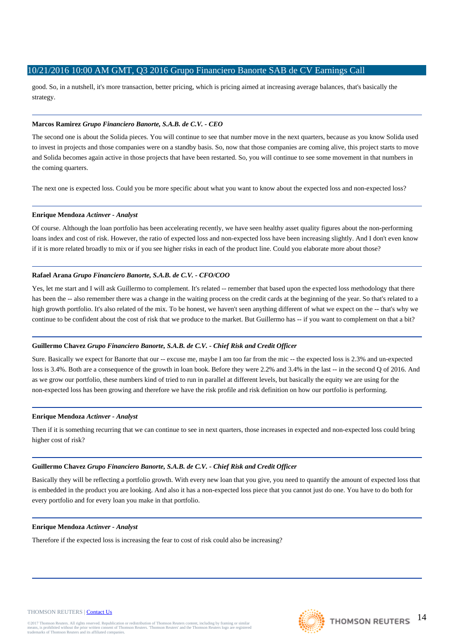good. So, in a nutshell, it's more transaction, better pricing, which is pricing aimed at increasing average balances, that's basically the strategy.

# **Marcos Ramirez** *Grupo Financiero Banorte, S.A.B. de C.V. - CEO*

The second one is about the Solida pieces. You will continue to see that number move in the next quarters, because as you know Solida used to invest in projects and those companies were on a standby basis. So, now that those companies are coming alive, this project starts to move and Solida becomes again active in those projects that have been restarted. So, you will continue to see some movement in that numbers in the coming quarters.

The next one is expected loss. Could you be more specific about what you want to know about the expected loss and non-expected loss?

# **Enrique Mendoza** *Actinver - Analyst*

Of course. Although the loan portfolio has been accelerating recently, we have seen healthy asset quality figures about the non-performing loans index and cost of risk. However, the ratio of expected loss and non-expected loss have been increasing slightly. And I don't even know if it is more related broadly to mix or if you see higher risks in each of the product line. Could you elaborate more about those?

# **Rafael Arana** *Grupo Financiero Banorte, S.A.B. de C.V. - CFO/COO*

Yes, let me start and I will ask Guillermo to complement. It's related -- remember that based upon the expected loss methodology that there has been the -- also remember there was a change in the waiting process on the credit cards at the beginning of the year. So that's related to a high growth portfolio. It's also related of the mix. To be honest, we haven't seen anything different of what we expect on the -- that's why we continue to be confident about the cost of risk that we produce to the market. But Guillermo has -- if you want to complement on that a bit?

# **Guillermo Chavez** *Grupo Financiero Banorte, S.A.B. de C.V. - Chief Risk and Credit Officer*

Sure. Basically we expect for Banorte that our -- excuse me, maybe I am too far from the mic -- the expected loss is 2.3% and un-expected loss is 3.4%. Both are a consequence of the growth in loan book. Before they were 2.2% and 3.4% in the last -- in the second Q of 2016. And as we grow our portfolio, these numbers kind of tried to run in parallel at different levels, but basically the equity we are using for the non-expected loss has been growing and therefore we have the risk profile and risk definition on how our portfolio is performing.

#### **Enrique Mendoza** *Actinver - Analyst*

Then if it is something recurring that we can continue to see in next quarters, those increases in expected and non-expected loss could bring higher cost of risk?

# **Guillermo Chavez** *Grupo Financiero Banorte, S.A.B. de C.V. - Chief Risk and Credit Officer*

Basically they will be reflecting a portfolio growth. With every new loan that you give, you need to quantify the amount of expected loss that is embedded in the product you are looking. And also it has a non-expected loss piece that you cannot just do one. You have to do both for every portfolio and for every loan you make in that portfolio.

#### **Enrique Mendoza** *Actinver - Analyst*

Therefore if the expected loss is increasing the fear to cost of risk could also be increasing?

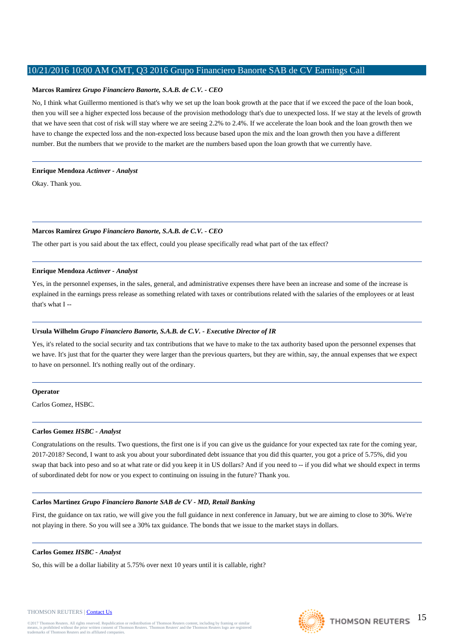# **Marcos Ramirez** *Grupo Financiero Banorte, S.A.B. de C.V. - CEO*

No, I think what Guillermo mentioned is that's why we set up the loan book growth at the pace that if we exceed the pace of the loan book, then you will see a higher expected loss because of the provision methodology that's due to unexpected loss. If we stay at the levels of growth that we have seen that cost of risk will stay where we are seeing 2.2% to 2.4%. If we accelerate the loan book and the loan growth then we have to change the expected loss and the non-expected loss because based upon the mix and the loan growth then you have a different number. But the numbers that we provide to the market are the numbers based upon the loan growth that we currently have.

### **Enrique Mendoza** *Actinver - Analyst*

Okay. Thank you.

# **Marcos Ramirez** *Grupo Financiero Banorte, S.A.B. de C.V. - CEO*

The other part is you said about the tax effect, could you please specifically read what part of the tax effect?

### **Enrique Mendoza** *Actinver - Analyst*

Yes, in the personnel expenses, in the sales, general, and administrative expenses there have been an increase and some of the increase is explained in the earnings press release as something related with taxes or contributions related with the salaries of the employees or at least that's what I --

# **Ursula Wilhelm** *Grupo Financiero Banorte, S.A.B. de C.V. - Executive Director of IR*

Yes, it's related to the social security and tax contributions that we have to make to the tax authority based upon the personnel expenses that we have. It's just that for the quarter they were larger than the previous quarters, but they are within, say, the annual expenses that we expect to have on personnel. It's nothing really out of the ordinary.

#### **Operator**

Carlos Gomez, HSBC.

### **Carlos Gomez** *HSBC - Analyst*

Congratulations on the results. Two questions, the first one is if you can give us the guidance for your expected tax rate for the coming year, 2017-2018? Second, I want to ask you about your subordinated debt issuance that you did this quarter, you got a price of 5.75%, did you swap that back into peso and so at what rate or did you keep it in US dollars? And if you need to -- if you did what we should expect in terms of subordinated debt for now or you expect to continuing on issuing in the future? Thank you.

#### **Carlos Martinez** *Grupo Financiero Banorte SAB de CV - MD, Retail Banking*

First, the guidance on tax ratio, we will give you the full guidance in next conference in January, but we are aiming to close to 30%. We're not playing in there. So you will see a 30% tax guidance. The bonds that we issue to the market stays in dollars.

### **Carlos Gomez** *HSBC - Analyst*

So, this will be a dollar liability at 5.75% over next 10 years until it is callable, right?

#### THOMSON REUTERS | [Contact Us](http://financial.thomsonreuters.com/en/contact-us.html)